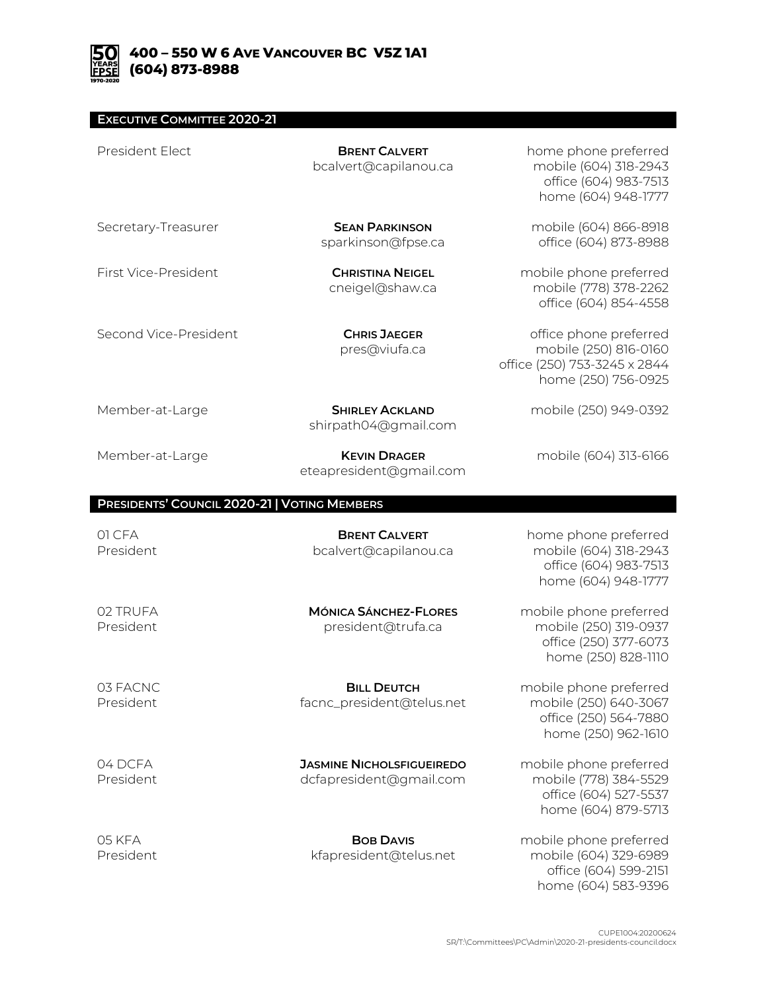## **EXECUTIVE COMMITTEE 2020-21**

| President Elect                              | <b>BRENT CALVERT</b><br>bcalvert@capilanou.ca               | home phone preferred<br>mobile (604) 318-2943<br>office (604) 983-7513<br>home (604) 948-1777          |
|----------------------------------------------|-------------------------------------------------------------|--------------------------------------------------------------------------------------------------------|
| Secretary-Treasurer                          | <b>SEAN PARKINSON</b><br>sparkinson@fpse.ca                 | mobile (604) 866-8918<br>office (604) 873-8988                                                         |
| First Vice-President                         | <b>CHRISTINA NEIGEL</b><br>cneigel@shaw.ca                  | mobile phone preferred<br>mobile (778) 378-2262<br>office (604) 854-4558                               |
| Second Vice-President                        | <b>CHRIS JAEGER</b><br>pres@viufa.ca                        | office phone preferred<br>mobile (250) 816-0160<br>office (250) 753-3245 x 2844<br>home (250) 756-0925 |
| Member-at-Large                              | <b>SHIRLEY ACKLAND</b><br>shirpath04@gmail.com              | mobile (250) 949-0392                                                                                  |
| Member-at-Large                              | <b>KEVIN DRAGER</b><br>eteapresident@gmail.com              | mobile (604) 313-6166                                                                                  |
| PRESIDENTS' COUNCIL 2020-21   VOTING MEMBERS |                                                             |                                                                                                        |
| 01 CFA<br>President                          | <b>BRENT CALVERT</b><br>bcalvert@capilanou.ca               | home phone preferred<br>mobile (604) 318-2943<br>office (604) 983-7513<br>home (604) 948-1777          |
| 02 TRUFA<br>President                        | <b>MÓNICA SÁNCHEZ-FLORES</b><br>president@trufa.ca          | mobile phone preferred<br>mobile (250) 319-0937<br>office (250) 377-6073<br>home (250) 828-1110        |
| 03 FACNC<br>President                        | <b>BILL DEUTCH</b><br>facnc_president@telus.net             | mobile phone preferred<br>mobile (250) 640-3067<br>office (250) 564-7880<br>home (250) 962-1610        |
| 04 DCFA<br>President                         | <b>JASMINE NICHOLSFIGUEIREDO</b><br>dcfapresident@gmail.com | mobile phone preferred<br>mobile (778) 384-5529<br>office (604) 527-5537                               |
|                                              |                                                             | home (604) 879-5713                                                                                    |

home (604) 583-9396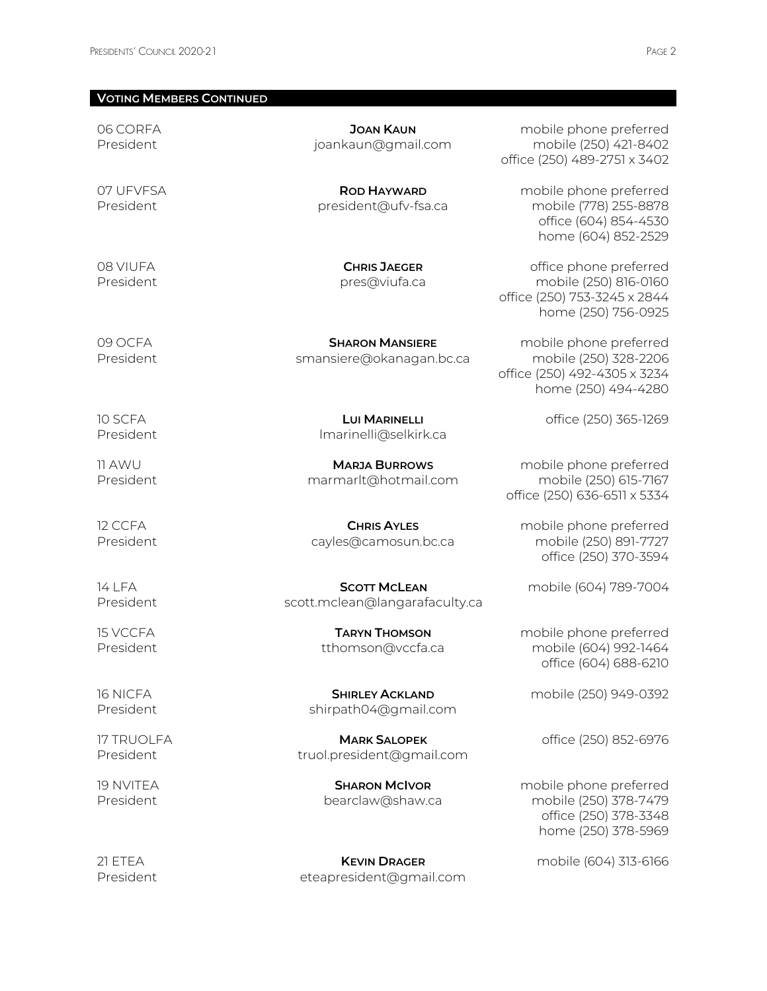## **VOTING MEMBERS CONTINUED**

06 CORFA President

07 UFVFSA President

08 VIUFA President

**ROD HAYWARD** president@ufv-fsa.ca

**JOAN KAUN** joankaun@gmail.com

**CHRIS JAEGER** pres@viufa.ca

09 OCFA President

10 SCFA President

11 AWU President

12 CCFA President

**SHARON MANSIERE** smansiere@okanagan.bc.ca

> **LUI MARINELLI** lmarinelli@selkirk.ca

**MARJA BURROWS** marmarlt@hotmail.com

**CHRIS AYLES** cayles@camosun.bc.ca

14 LFA President

15 VCCFA President

16 NICFA President

17 TRUOLFA President

19 NVITEA President

21 ETEA President

**SCOTT MCLEAN** scott.mclean@langarafaculty.ca

> **TARYN THOMSON** tthomson@vccfa.ca

**SHIRLEY ACKLAND** shirpath04@gmail.com

**MARK SALOPEK** truol.president@gmail.com

> **SHARON MCIVOR** bearclaw@shaw.ca

**KEVIN DRAGER** eteapresident@gmail.com

mobile phone preferred mobile (250) 421-8402 office (250) 489-2751 x 3402

> mobile phone preferred mobile (778) 255-8878 office (604) 854-4530 home (604) 852-2529

office phone preferred mobile (250) 816-0160 office (250) 753-3245 x 2844 home (250) 756-0925

mobile phone preferred mobile (250) 328-2206 office (250) 492-4305 x 3234 home (250) 494-4280

office (250) 365-1269

mobile phone preferred mobile (250) 615-7167 office (250) 636-6511 x 5334

mobile phone preferred mobile (250) 891-7727 office (250) 370-3594

mobile (604) 789-7004

mobile phone preferred mobile (604) 992-1464 office (604) 688-6210

mobile (250) 949-0392

office (250) 852-6976

mobile phone preferred mobile (250) 378-7479 office (250) 378-3348 home (250) 378-5969

mobile (604) 313-6166